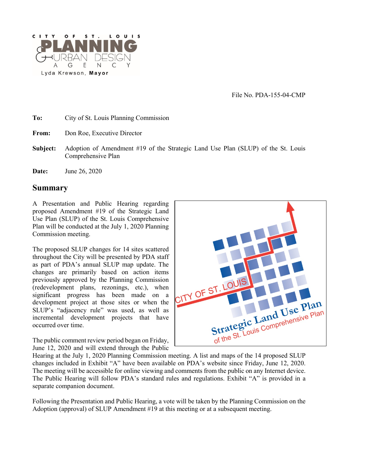

File No. PDA-155-04-CMP

| To: |  | City of St. Louis Planning Commission |  |
|-----|--|---------------------------------------|--|
|-----|--|---------------------------------------|--|

- **From:** Don Roe, Executive Director
- **Subject:** Adoption of Amendment #19 of the Strategic Land Use Plan (SLUP) of the St. Louis Comprehensive Plan
- **Date:** June 26, 2020

#### **Summary**

A Presentation and Public Hearing regarding proposed Amendment #19 of the Strategic Land Use Plan (SLUP) of the St. Louis Comprehensive Plan will be conducted at the July 1, 2020 Planning Commission meeting.

The proposed SLUP changes for 14 sites scattered throughout the City will be presented by PDA staff as part of PDA's annual SLUP map update. The changes are primarily based on action items previously approved by the Planning Commission (redevelopment plans, rezonings, etc.), when significant progress has been made on a development project at those sites or when the SLUP's "adjacency rule" was used, as well as incremental development projects that have occurred over time.

The public comment review period began on Friday, June 12, 2020 and will extend through the Public

Hearing at the July 1, 2020 Planning Commission meeting. A list and maps of the 14 proposed SLUP changes included in Exhibit "A" have been available on PDA's website since Friday, June 12, 2020. The meeting will be accessible for online viewing and comments from the public on any Internet device. The Public Hearing will follow PDA's standard rules and regulations. Exhibit "A" is provided in a separate companion document.

Following the Presentation and Public Hearing, a vote will be taken by the Planning Commission on the Adoption (approval) of SLUP Amendment  $#19$  at this meeting or at a subsequent meeting.

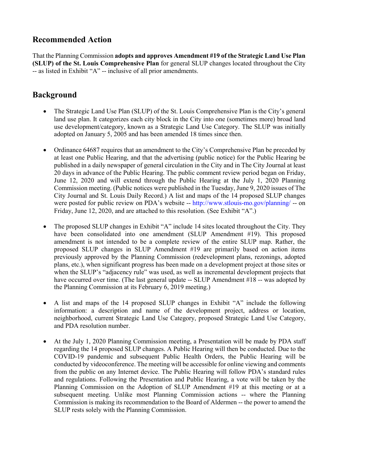### **Recommended Action**

That the Planning Commission **adopts and approves Amendment #19 of the Strategic Land Use Plan (SLUP) of the St. Louis Comprehensive Plan** for general SLUP changes located throughout the City -- as listed in Exhibit "A" -- inclusive of all prior amendments.

# **Background**

- The Strategic Land Use Plan (SLUP) of the St. Louis Comprehensive Plan is the City's general land use plan. It categorizes each city block in the City into one (sometimes more) broad land use development/category, known as a Strategic Land Use Category. The SLUP was initially adopted on January 5, 2005 and has been amended 18 times since then.
- Ordinance 64687 requires that an amendment to the City's Comprehensive Plan be preceded by at least one Public Hearing, and that the advertising (public notice) for the Public Hearing be published in a daily newspaper of general circulation in the City and in The City Journal at least 20 days in advance of the Public Hearing. The public comment review period began on Friday, June 12, 2020 and will extend through the Public Hearing at the July 1, 2020 Planning Commission meeting. (Public notices were published in the Tuesday, June 9, 2020 issues of The City Journal and St. Louis Daily Record.) A list and maps of the 14 proposed SLUP changes were posted for public review on PDA's website -- <http://www.stlouis-mo.gov/planning/> -- on Friday, June 12, 2020, and are attached to this resolution. (See Exhibit "A".)
- The proposed SLUP changes in Exhibit "A" include 14 sites located throughout the City. They have been consolidated into one amendment (SLUP Amendment #19). This proposed amendment is not intended to be a complete review of the entire SLUP map. Rather, the proposed SLUP changes in SLUP Amendment #19 are primarily based on action items previously approved by the Planning Commission (redevelopment plans, rezonings, adopted plans, etc.), when significant progress has been made on a development project at those sites or when the SLUP's "adjacency rule" was used, as well as incremental development projects that have occurred over time. (The last general update -- SLUP Amendment #18 -- was adopted by the Planning Commission at its February 6, 2019 meeting.)
- A list and maps of the 14 proposed SLUP changes in Exhibit "A" include the following information: a description and name of the development project, address or location, neighborhood, current Strategic Land Use Category, proposed Strategic Land Use Category, and PDA resolution number.
- At the July 1, 2020 Planning Commission meeting, a Presentation will be made by PDA staff regarding the 14 proposed SLUP changes. A Public Hearing will then be conducted. Due to the COVID-19 pandemic and subsequent Public Health Orders, the Public Hearing will be conducted by videoconference. The meeting will be accessible for online viewing and comments from the public on any Internet device. The Public Hearing will follow PDA's standard rules and regulations. Following the Presentation and Public Hearing, a vote will be taken by the Planning Commission on the Adoption of SLUP Amendment #19 at this meeting or at a subsequent meeting. Unlike most Planning Commission actions -- where the Planning Commission is making its recommendation to the Board of Aldermen -- the power to amend the SLUP rests solely with the Planning Commission.